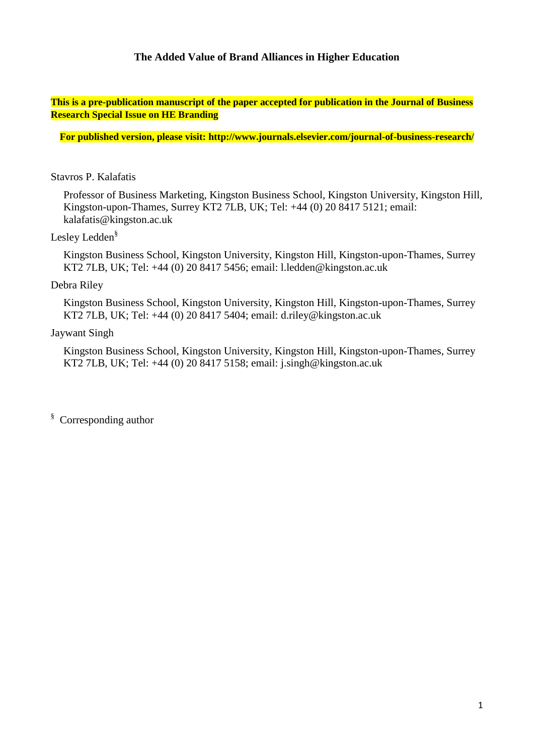# **The Added Value of Brand Alliances in Higher Education**

**This is a pre-publication manuscript of the paper accepted for publication in the Journal of Business Research Special Issue on HE Branding**

**For published version, please visit: http://www.journals.elsevier.com/journal-of-business-research/**

# Stavros P. Kalafatis

Professor of Business Marketing, Kingston Business School, Kingston University, Kingston Hill, Kingston-upon-Thames, Surrey KT2 7LB, UK; Tel: +44 (0) 20 8417 5121; email: kalafatis@kingston.ac.uk

# Lesley Ledden§

Kingston Business School, Kingston University, Kingston Hill, Kingston-upon-Thames, Surrey KT2 7LB, UK; Tel: +44 (0) 20 8417 5456; email: l.ledden@kingston.ac.uk

### Debra Riley

Kingston Business School, Kingston University, Kingston Hill, Kingston-upon-Thames, Surrey KT2 7LB, UK; Tel: +44 (0) 20 8417 5404; email: d.riley@kingston.ac.uk

# Jaywant Singh

Kingston Business School, Kingston University, Kingston Hill, Kingston-upon-Thames, Surrey KT2 7LB, UK; Tel: +44 (0) 20 8417 5158; email: j.singh@kingston.ac.uk

§ Corresponding author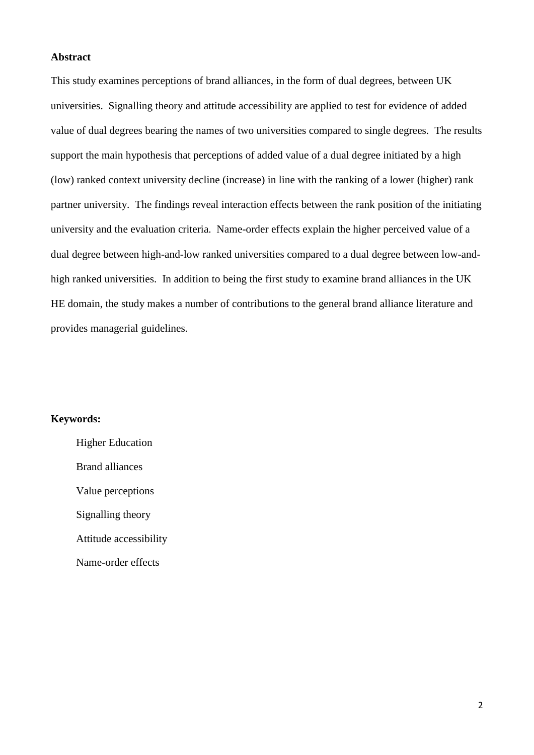### **Abstract**

This study examines perceptions of brand alliances, in the form of dual degrees, between UK universities. Signalling theory and attitude accessibility are applied to test for evidence of added value of dual degrees bearing the names of two universities compared to single degrees. The results support the main hypothesis that perceptions of added value of a dual degree initiated by a high (low) ranked context university decline (increase) in line with the ranking of a lower (higher) rank partner university. The findings reveal interaction effects between the rank position of the initiating university and the evaluation criteria. Name-order effects explain the higher perceived value of a dual degree between high-and-low ranked universities compared to a dual degree between low-andhigh ranked universities. In addition to being the first study to examine brand alliances in the UK HE domain, the study makes a number of contributions to the general brand alliance literature and provides managerial guidelines.

### **Keywords:**

Higher Education Brand alliances Value perceptions Signalling theory Attitude accessibility Name-order effects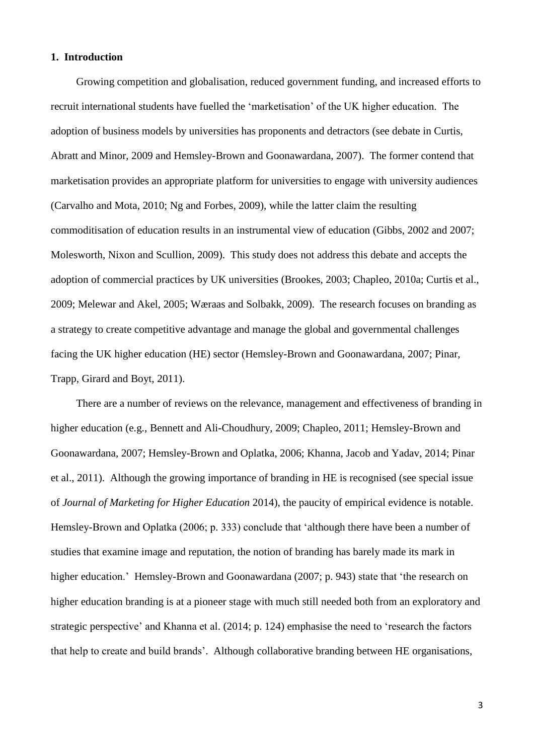### **1. Introduction**

Growing competition and globalisation, reduced government funding, and increased efforts to recruit international students have fuelled the 'marketisation' of the UK higher education. The adoption of business models by universities has proponents and detractors (see debate in Curtis, Abratt and Minor, 2009 and Hemsley-Brown and Goonawardana, 2007). The former contend that marketisation provides an appropriate platform for universities to engage with university audiences (Carvalho and Mota, 2010; Ng and Forbes, 2009), while the latter claim the resulting commoditisation of education results in an instrumental view of education (Gibbs, 2002 and 2007; Molesworth, Nixon and Scullion, 2009). This study does not address this debate and accepts the adoption of commercial practices by UK universities (Brookes, 2003; Chapleo, 2010a; Curtis et al., 2009; Melewar and Akel, 2005; Wæraas and Solbakk, 2009). The research focuses on branding as a strategy to create competitive advantage and manage the global and governmental challenges facing the UK higher education (HE) sector (Hemsley-Brown and Goonawardana, 2007; Pinar, Trapp, Girard and Boyt, 2011).

There are a number of reviews on the relevance, management and effectiveness of branding in higher education (e.g., Bennett and Ali-Choudhury, 2009; Chapleo, 2011; Hemsley-Brown and Goonawardana, 2007; Hemsley-Brown and Oplatka, 2006; Khanna, Jacob and Yadav, 2014; Pinar et al., 2011). Although the growing importance of branding in HE is recognised (see special issue of *Journal of Marketing for Higher Education* 2014), the paucity of empirical evidence is notable. Hemsley-Brown and Oplatka (2006; p. 333) conclude that 'although there have been a number of studies that examine image and reputation, the notion of branding has barely made its mark in higher education.' Hemsley-Brown and Goonawardana (2007; p. 943) state that 'the research on higher education branding is at a pioneer stage with much still needed both from an exploratory and strategic perspective' and Khanna et al. (2014; p. 124) emphasise the need to 'research the factors that help to create and build brands'. Although collaborative branding between HE organisations,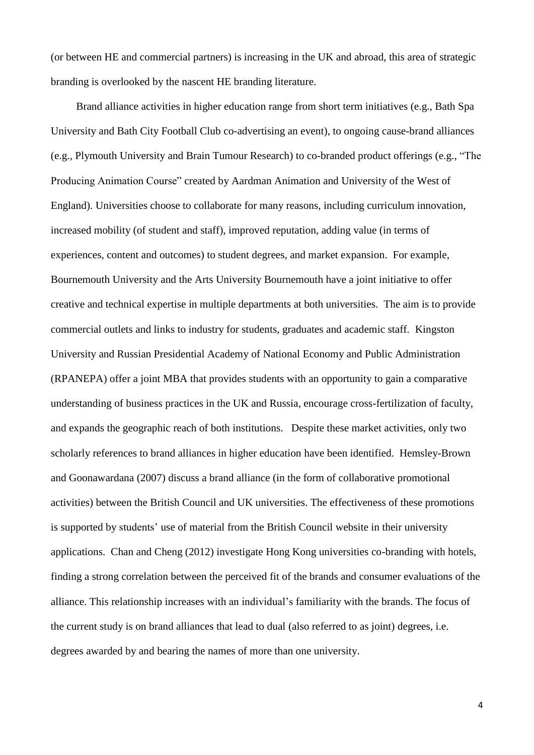(or between HE and commercial partners) is increasing in the UK and abroad, this area of strategic branding is overlooked by the nascent HE branding literature.

Brand alliance activities in higher education range from short term initiatives (e.g., Bath Spa University and Bath City Football Club co-advertising an event), to ongoing cause-brand alliances (e.g., Plymouth University and Brain Tumour Research) to co-branded product offerings (e.g., "The Producing Animation Course" created by Aardman Animation and University of the West of England). Universities choose to collaborate for many reasons, including curriculum innovation, increased mobility (of student and staff), improved reputation, adding value (in terms of experiences, content and outcomes) to student degrees, and market expansion. For example, Bournemouth University and the Arts University Bournemouth have a joint initiative to offer creative and technical expertise in multiple departments at both universities. The aim is to provide commercial outlets and links to industry for students, graduates and academic staff. Kingston University and Russian Presidential Academy of National Economy and Public Administration (RPANEPA) offer a joint MBA that provides students with an opportunity to gain a comparative understanding of business practices in the UK and Russia, encourage cross-fertilization of faculty, and expands the geographic reach of both institutions. Despite these market activities, only two scholarly references to brand alliances in higher education have been identified. Hemsley-Brown and Goonawardana (2007) discuss a brand alliance (in the form of collaborative promotional activities) between the British Council and UK universities. The effectiveness of these promotions is supported by students' use of material from the British Council website in their university applications. Chan and Cheng (2012) investigate Hong Kong universities co-branding with hotels, finding a strong correlation between the perceived fit of the brands and consumer evaluations of the alliance. This relationship increases with an individual's familiarity with the brands. The focus of the current study is on brand alliances that lead to dual (also referred to as joint) degrees, i.e. degrees awarded by and bearing the names of more than one university.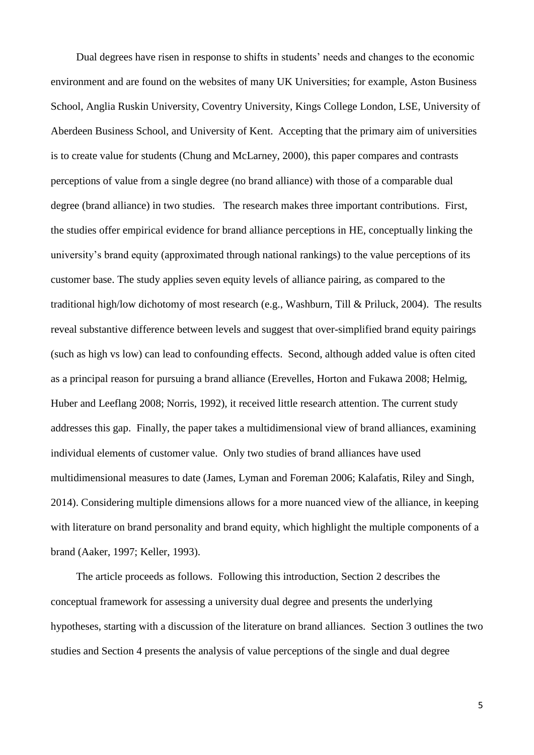Dual degrees have risen in response to shifts in students' needs and changes to the economic environment and are found on the websites of many UK Universities; for example, Aston Business School, Anglia Ruskin University, Coventry University, Kings College London, LSE, University of Aberdeen Business School, and University of Kent. Accepting that the primary aim of universities is to create value for students (Chung and McLarney, 2000), this paper compares and contrasts perceptions of value from a single degree (no brand alliance) with those of a comparable dual degree (brand alliance) in two studies. The research makes three important contributions. First, the studies offer empirical evidence for brand alliance perceptions in HE, conceptually linking the university's brand equity (approximated through national rankings) to the value perceptions of its customer base. The study applies seven equity levels of alliance pairing, as compared to the traditional high/low dichotomy of most research (e.g., Washburn, Till & Priluck, 2004). The results reveal substantive difference between levels and suggest that over-simplified brand equity pairings (such as high vs low) can lead to confounding effects. Second, although added value is often cited as a principal reason for pursuing a brand alliance (Erevelles, Horton and Fukawa 2008; Helmig, Huber and Leeflang 2008; Norris, 1992), it received little research attention. The current study addresses this gap. Finally, the paper takes a multidimensional view of brand alliances, examining individual elements of customer value. Only two studies of brand alliances have used multidimensional measures to date (James, Lyman and Foreman 2006; Kalafatis, Riley and Singh, 2014). Considering multiple dimensions allows for a more nuanced view of the alliance, in keeping with literature on brand personality and brand equity, which highlight the multiple components of a brand (Aaker, 1997; Keller, 1993).

The article proceeds as follows. Following this introduction, Section 2 describes the conceptual framework for assessing a university dual degree and presents the underlying hypotheses, starting with a discussion of the literature on brand alliances. Section 3 outlines the two studies and Section 4 presents the analysis of value perceptions of the single and dual degree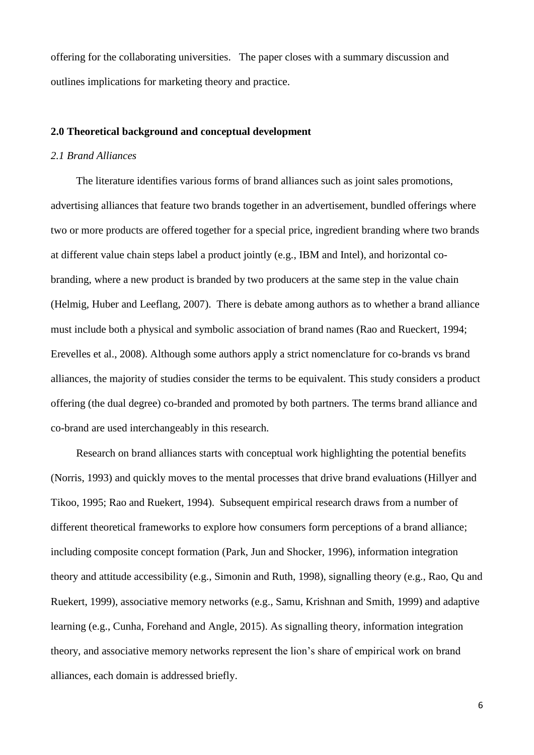offering for the collaborating universities. The paper closes with a summary discussion and outlines implications for marketing theory and practice.

#### **2.0 Theoretical background and conceptual development**

#### *2.1 Brand Alliances*

The literature identifies various forms of brand alliances such as joint sales promotions, advertising alliances that feature two brands together in an advertisement, bundled offerings where two or more products are offered together for a special price, ingredient branding where two brands at different value chain steps label a product jointly (e.g., IBM and Intel), and horizontal cobranding, where a new product is branded by two producers at the same step in the value chain (Helmig, Huber and Leeflang, 2007). There is debate among authors as to whether a brand alliance must include both a physical and symbolic association of brand names (Rao and Rueckert, 1994; Erevelles et al., 2008). Although some authors apply a strict nomenclature for co-brands vs brand alliances, the majority of studies consider the terms to be equivalent. This study considers a product offering (the dual degree) co-branded and promoted by both partners. The terms brand alliance and co-brand are used interchangeably in this research.

Research on brand alliances starts with conceptual work highlighting the potential benefits (Norris, 1993) and quickly moves to the mental processes that drive brand evaluations (Hillyer and Tikoo, 1995; Rao and Ruekert, 1994). Subsequent empirical research draws from a number of different theoretical frameworks to explore how consumers form perceptions of a brand alliance; including composite concept formation (Park, Jun and Shocker, 1996), information integration theory and attitude accessibility (e.g., Simonin and Ruth, 1998), signalling theory (e.g., Rao, Qu and Ruekert, 1999), associative memory networks (e.g., Samu, Krishnan and Smith, 1999) and adaptive learning (e.g., Cunha, Forehand and Angle, 2015). As signalling theory, information integration theory, and associative memory networks represent the lion's share of empirical work on brand alliances, each domain is addressed briefly.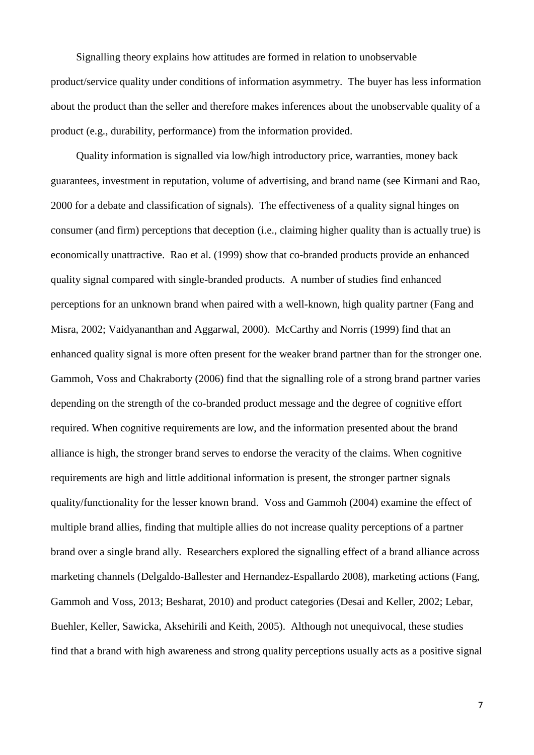Signalling theory explains how attitudes are formed in relation to unobservable product/service quality under conditions of information asymmetry. The buyer has less information about the product than the seller and therefore makes inferences about the unobservable quality of a product (e.g., durability, performance) from the information provided.

Quality information is signalled via low/high introductory price, warranties, money back guarantees, investment in reputation, volume of advertising, and brand name (see Kirmani and Rao, 2000 for a debate and classification of signals). The effectiveness of a quality signal hinges on consumer (and firm) perceptions that deception (i.e., claiming higher quality than is actually true) is economically unattractive. Rao et al. (1999) show that co-branded products provide an enhanced quality signal compared with single-branded products. A number of studies find enhanced perceptions for an unknown brand when paired with a well-known, high quality partner (Fang and Misra, 2002; Vaidyananthan and Aggarwal, 2000). McCarthy and Norris (1999) find that an enhanced quality signal is more often present for the weaker brand partner than for the stronger one. Gammoh, Voss and Chakraborty (2006) find that the signalling role of a strong brand partner varies depending on the strength of the co-branded product message and the degree of cognitive effort required. When cognitive requirements are low, and the information presented about the brand alliance is high, the stronger brand serves to endorse the veracity of the claims. When cognitive requirements are high and little additional information is present, the stronger partner signals quality/functionality for the lesser known brand. Voss and Gammoh (2004) examine the effect of multiple brand allies, finding that multiple allies do not increase quality perceptions of a partner brand over a single brand ally. Researchers explored the signalling effect of a brand alliance across marketing channels (Delgaldo-Ballester and Hernandez-Espallardo 2008), marketing actions (Fang, Gammoh and Voss, 2013; Besharat, 2010) and product categories (Desai and Keller, 2002; Lebar, Buehler, Keller, Sawicka, Aksehirili and Keith, 2005). Although not unequivocal, these studies find that a brand with high awareness and strong quality perceptions usually acts as a positive signal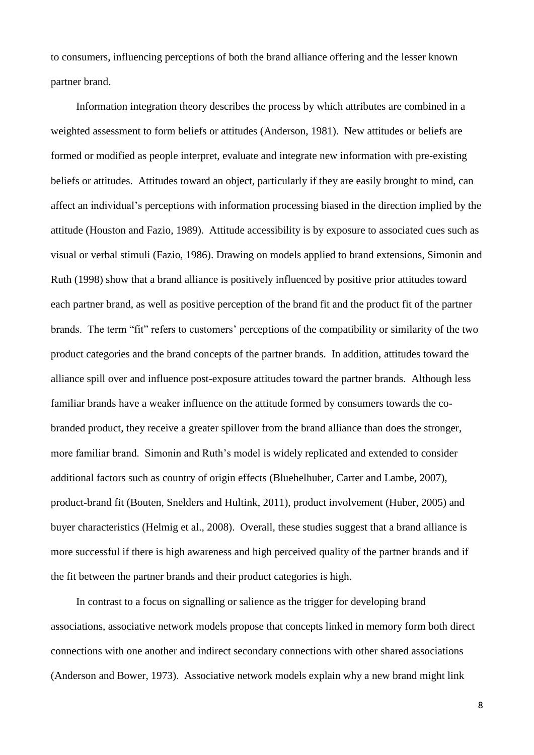to consumers, influencing perceptions of both the brand alliance offering and the lesser known partner brand.

Information integration theory describes the process by which attributes are combined in a weighted assessment to form beliefs or attitudes (Anderson, 1981). New attitudes or beliefs are formed or modified as people interpret, evaluate and integrate new information with pre-existing beliefs or attitudes. Attitudes toward an object, particularly if they are easily brought to mind, can affect an individual's perceptions with information processing biased in the direction implied by the attitude (Houston and Fazio, 1989). Attitude accessibility is by exposure to associated cues such as visual or verbal stimuli (Fazio, 1986). Drawing on models applied to brand extensions, Simonin and Ruth (1998) show that a brand alliance is positively influenced by positive prior attitudes toward each partner brand, as well as positive perception of the brand fit and the product fit of the partner brands. The term "fit" refers to customers' perceptions of the compatibility or similarity of the two product categories and the brand concepts of the partner brands. In addition, attitudes toward the alliance spill over and influence post-exposure attitudes toward the partner brands. Although less familiar brands have a weaker influence on the attitude formed by consumers towards the cobranded product, they receive a greater spillover from the brand alliance than does the stronger, more familiar brand. Simonin and Ruth's model is widely replicated and extended to consider additional factors such as country of origin effects (Bluehelhuber, Carter and Lambe, 2007), product-brand fit (Bouten, Snelders and Hultink, 2011), product involvement (Huber, 2005) and buyer characteristics (Helmig et al., 2008). Overall, these studies suggest that a brand alliance is more successful if there is high awareness and high perceived quality of the partner brands and if the fit between the partner brands and their product categories is high.

In contrast to a focus on signalling or salience as the trigger for developing brand associations, associative network models propose that concepts linked in memory form both direct connections with one another and indirect secondary connections with other shared associations (Anderson and Bower, 1973). Associative network models explain why a new brand might link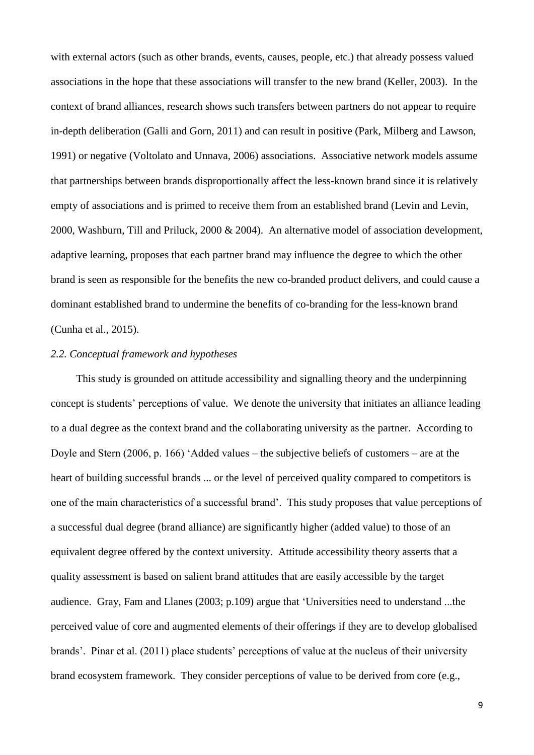with external actors (such as other brands, events, causes, people, etc.) that already possess valued associations in the hope that these associations will transfer to the new brand (Keller, 2003). In the context of brand alliances, research shows such transfers between partners do not appear to require in-depth deliberation (Galli and Gorn, 2011) and can result in positive (Park, Milberg and Lawson, 1991) or negative (Voltolato and Unnava, 2006) associations. Associative network models assume that partnerships between brands disproportionally affect the less-known brand since it is relatively empty of associations and is primed to receive them from an established brand (Levin and Levin, 2000, Washburn, Till and Priluck, 2000 & 2004). An alternative model of association development, adaptive learning, proposes that each partner brand may influence the degree to which the other brand is seen as responsible for the benefits the new co-branded product delivers, and could cause a dominant established brand to undermine the benefits of co-branding for the less-known brand (Cunha et al., 2015).

### *2.2. Conceptual framework and hypotheses*

This study is grounded on attitude accessibility and signalling theory and the underpinning concept is students' perceptions of value. We denote the university that initiates an alliance leading to a dual degree as the context brand and the collaborating university as the partner. According to Doyle and Stern (2006, p. 166) 'Added values – the subjective beliefs of customers – are at the heart of building successful brands ... or the level of perceived quality compared to competitors is one of the main characteristics of a successful brand'. This study proposes that value perceptions of a successful dual degree (brand alliance) are significantly higher (added value) to those of an equivalent degree offered by the context university. Attitude accessibility theory asserts that a quality assessment is based on salient brand attitudes that are easily accessible by the target audience. Gray, Fam and Llanes (2003; p.109) argue that 'Universities need to understand ...the perceived value of core and augmented elements of their offerings if they are to develop globalised brands'. Pinar et al. (2011) place students' perceptions of value at the nucleus of their university brand ecosystem framework. They consider perceptions of value to be derived from core (e.g.,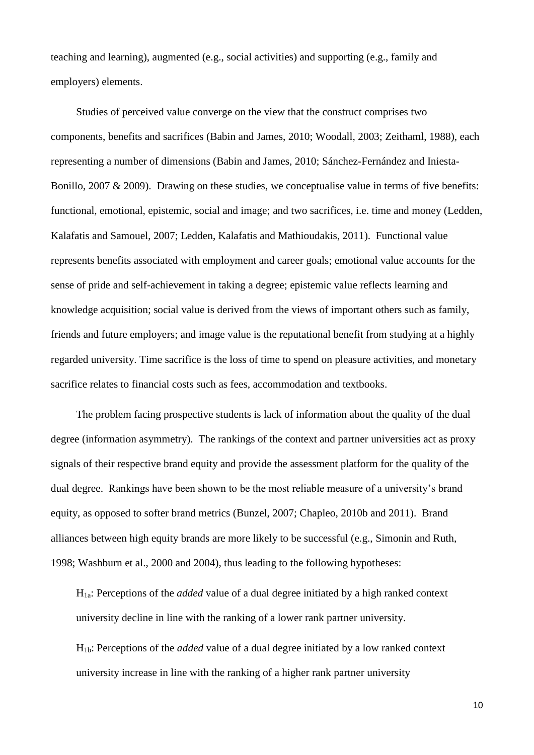teaching and learning), augmented (e.g., social activities) and supporting (e.g., family and employers) elements.

Studies of perceived value converge on the view that the construct comprises two components, benefits and sacrifices (Babin and James, 2010; Woodall, 2003; Zeithaml, 1988), each representing a number of dimensions (Babin and James, 2010; Sánchez-Fernández and Iniesta-Bonillo, 2007 & 2009). Drawing on these studies, we conceptualise value in terms of five benefits: functional, emotional, epistemic, social and image; and two sacrifices, i.e. time and money (Ledden, Kalafatis and Samouel, 2007; Ledden, Kalafatis and Mathioudakis, 2011). Functional value represents benefits associated with employment and career goals; emotional value accounts for the sense of pride and self-achievement in taking a degree; epistemic value reflects learning and knowledge acquisition; social value is derived from the views of important others such as family, friends and future employers; and image value is the reputational benefit from studying at a highly regarded university. Time sacrifice is the loss of time to spend on pleasure activities, and monetary sacrifice relates to financial costs such as fees, accommodation and textbooks.

The problem facing prospective students is lack of information about the quality of the dual degree (information asymmetry). The rankings of the context and partner universities act as proxy signals of their respective brand equity and provide the assessment platform for the quality of the dual degree. Rankings have been shown to be the most reliable measure of a university's brand equity, as opposed to softer brand metrics (Bunzel, 2007; Chapleo, 2010b and 2011). Brand alliances between high equity brands are more likely to be successful (e.g., Simonin and Ruth, 1998; Washburn et al., 2000 and 2004), thus leading to the following hypotheses:

H1a: Perceptions of the *added* value of a dual degree initiated by a high ranked context university decline in line with the ranking of a lower rank partner university.

H1b: Perceptions of the *added* value of a dual degree initiated by a low ranked context university increase in line with the ranking of a higher rank partner university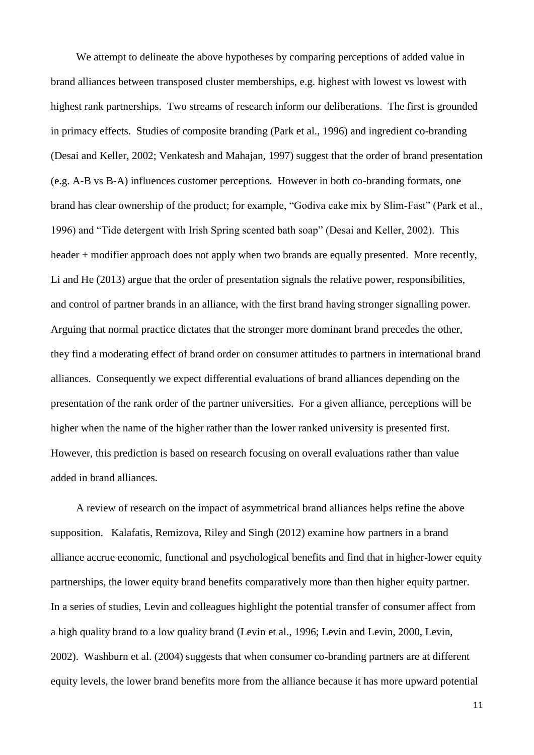We attempt to delineate the above hypotheses by comparing perceptions of added value in brand alliances between transposed cluster memberships, e.g. highest with lowest vs lowest with highest rank partnerships. Two streams of research inform our deliberations. The first is grounded in primacy effects. Studies of composite branding (Park et al., 1996) and ingredient co-branding (Desai and Keller, 2002; Venkatesh and Mahajan, 1997) suggest that the order of brand presentation (e.g. A-B vs B-A) influences customer perceptions. However in both co-branding formats, one brand has clear ownership of the product; for example, "Godiva cake mix by Slim-Fast" (Park et al., 1996) and "Tide detergent with Irish Spring scented bath soap" (Desai and Keller, 2002). This header + modifier approach does not apply when two brands are equally presented. More recently, Li and He (2013) argue that the order of presentation signals the relative power, responsibilities, and control of partner brands in an alliance, with the first brand having stronger signalling power. Arguing that normal practice dictates that the stronger more dominant brand precedes the other, they find a moderating effect of brand order on consumer attitudes to partners in international brand alliances. Consequently we expect differential evaluations of brand alliances depending on the presentation of the rank order of the partner universities. For a given alliance, perceptions will be higher when the name of the higher rather than the lower ranked university is presented first. However, this prediction is based on research focusing on overall evaluations rather than value added in brand alliances.

A review of research on the impact of asymmetrical brand alliances helps refine the above supposition. Kalafatis, Remizova, Riley and Singh (2012) examine how partners in a brand alliance accrue economic, functional and psychological benefits and find that in higher-lower equity partnerships, the lower equity brand benefits comparatively more than then higher equity partner. In a series of studies, Levin and colleagues highlight the potential transfer of consumer affect from a high quality brand to a low quality brand (Levin et al., 1996; Levin and Levin, 2000, Levin, 2002). Washburn et al. (2004) suggests that when consumer co-branding partners are at different equity levels, the lower brand benefits more from the alliance because it has more upward potential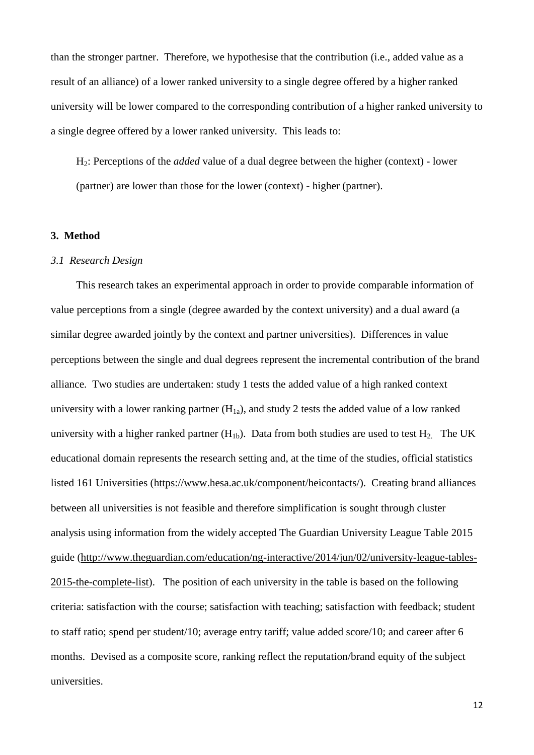than the stronger partner. Therefore, we hypothesise that the contribution (i.e., added value as a result of an alliance) of a lower ranked university to a single degree offered by a higher ranked university will be lower compared to the corresponding contribution of a higher ranked university to a single degree offered by a lower ranked university. This leads to:

H2: Perceptions of the *added* value of a dual degree between the higher (context) - lower (partner) are lower than those for the lower (context) - higher (partner).

#### **3. Method**

#### *3.1 Research Design*

This research takes an experimental approach in order to provide comparable information of value perceptions from a single (degree awarded by the context university) and a dual award (a similar degree awarded jointly by the context and partner universities). Differences in value perceptions between the single and dual degrees represent the incremental contribution of the brand alliance. Two studies are undertaken: study 1 tests the added value of a high ranked context university with a lower ranking partner  $(H_{1a})$ , and study 2 tests the added value of a low ranked university with a higher ranked partner  $(H_{1b})$ . Data from both studies are used to test  $H_2$ . The UK educational domain represents the research setting and, at the time of the studies, official statistics listed 161 Universities [\(https://www.hesa.ac.uk/component/heicontacts/\)](https://www.hesa.ac.uk/component/heicontacts/). Creating brand alliances between all universities is not feasible and therefore simplification is sought through cluster analysis using information from the widely accepted The Guardian University League Table 2015 guide [\(http://www.theguardian.com/education/ng-interactive/2014/jun/02/university-league-tables-](http://www.theguardian.com/education/ng-interactive/2014/jun/02/university-league-tables-2015-the-complete-list)[2015-the-complete-list\)](http://www.theguardian.com/education/ng-interactive/2014/jun/02/university-league-tables-2015-the-complete-list). The position of each university in the table is based on the following criteria: satisfaction with the course; satisfaction with teaching; satisfaction with feedback; student to staff ratio; spend per student/10; average entry tariff; value added score/10; and career after 6 months. Devised as a composite score, ranking reflect the reputation/brand equity of the subject universities.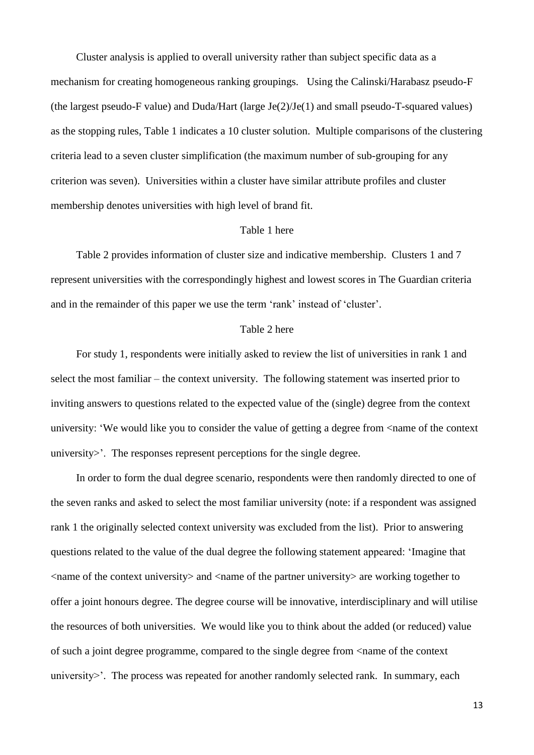Cluster analysis is applied to overall university rather than subject specific data as a mechanism for creating homogeneous ranking groupings. Using the Calinski/Harabasz pseudo-F (the largest pseudo-F value) and Duda/Hart (large Je(2)/Je(1) and small pseudo-T-squared values) as the stopping rules, Table 1 indicates a 10 cluster solution. Multiple comparisons of the clustering criteria lead to a seven cluster simplification (the maximum number of sub-grouping for any criterion was seven). Universities within a cluster have similar attribute profiles and cluster membership denotes universities with high level of brand fit.

### Table 1 here

Table 2 provides information of cluster size and indicative membership. Clusters 1 and 7 represent universities with the correspondingly highest and lowest scores in The Guardian criteria and in the remainder of this paper we use the term 'rank' instead of 'cluster'.

### Table 2 here

For study 1, respondents were initially asked to review the list of universities in rank 1 and select the most familiar – the context university. The following statement was inserted prior to inviting answers to questions related to the expected value of the (single) degree from the context university: 'We would like you to consider the value of getting a degree from  $\alpha$  ame of the context university>'. The responses represent perceptions for the single degree.

In order to form the dual degree scenario, respondents were then randomly directed to one of the seven ranks and asked to select the most familiar university (note: if a respondent was assigned rank 1 the originally selected context university was excluded from the list). Prior to answering questions related to the value of the dual degree the following statement appeared: 'Imagine that  $\alpha$  <name of the context university and  $\alpha$  and  $\alpha$  and  $\alpha$  the partner university are working together to offer a joint honours degree. The degree course will be innovative, interdisciplinary and will utilise the resources of both universities. We would like you to think about the added (or reduced) value of such a joint degree programme, compared to the single degree from <name of the context university>'. The process was repeated for another randomly selected rank. In summary, each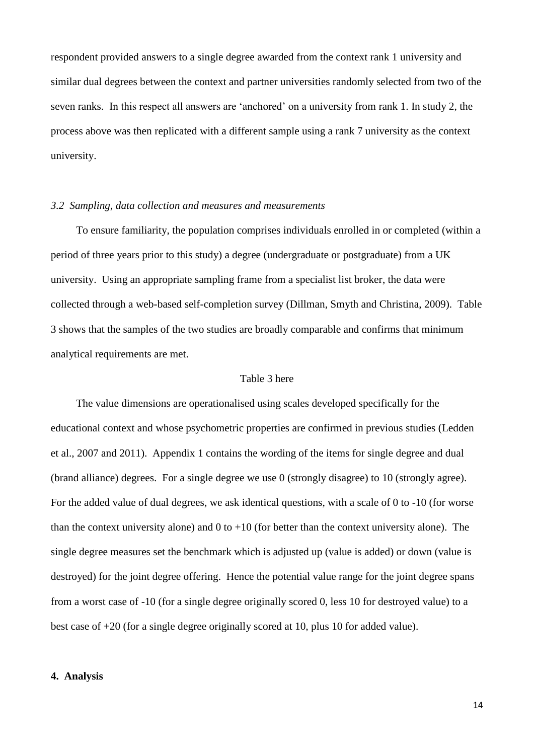respondent provided answers to a single degree awarded from the context rank 1 university and similar dual degrees between the context and partner universities randomly selected from two of the seven ranks. In this respect all answers are 'anchored' on a university from rank 1. In study 2, the process above was then replicated with a different sample using a rank 7 university as the context university.

#### *3.2 Sampling, data collection and measures and measurements*

To ensure familiarity, the population comprises individuals enrolled in or completed (within a period of three years prior to this study) a degree (undergraduate or postgraduate) from a UK university. Using an appropriate sampling frame from a specialist list broker, the data were collected through a web-based self-completion survey (Dillman, Smyth and Christina, 2009). Table 3 shows that the samples of the two studies are broadly comparable and confirms that minimum analytical requirements are met.

### Table 3 here

The value dimensions are operationalised using scales developed specifically for the educational context and whose psychometric properties are confirmed in previous studies (Ledden et al., 2007 and 2011). Appendix 1 contains the wording of the items for single degree and dual (brand alliance) degrees. For a single degree we use 0 (strongly disagree) to 10 (strongly agree). For the added value of dual degrees, we ask identical questions, with a scale of 0 to -10 (for worse than the context university alone) and  $0$  to  $+10$  (for better than the context university alone). The single degree measures set the benchmark which is adjusted up (value is added) or down (value is destroyed) for the joint degree offering. Hence the potential value range for the joint degree spans from a worst case of -10 (for a single degree originally scored 0, less 10 for destroyed value) to a best case of +20 (for a single degree originally scored at 10, plus 10 for added value).

#### **4. Analysis**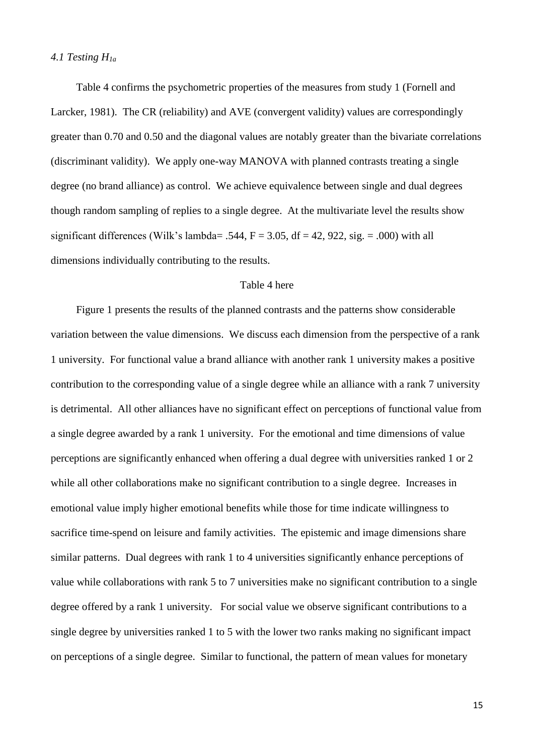# *4.1 Testing H1a*

Table 4 confirms the psychometric properties of the measures from study 1 (Fornell and Larcker, 1981). The CR (reliability) and AVE (convergent validity) values are correspondingly greater than 0.70 and 0.50 and the diagonal values are notably greater than the bivariate correlations (discriminant validity). We apply one-way MANOVA with planned contrasts treating a single degree (no brand alliance) as control. We achieve equivalence between single and dual degrees though random sampling of replies to a single degree. At the multivariate level the results show significant differences (Wilk's lambda= .544,  $F = 3.05$ ,  $df = 42$ , 922, sig. = .000) with all dimensions individually contributing to the results.

#### Table 4 here

Figure 1 presents the results of the planned contrasts and the patterns show considerable variation between the value dimensions. We discuss each dimension from the perspective of a rank 1 university. For functional value a brand alliance with another rank 1 university makes a positive contribution to the corresponding value of a single degree while an alliance with a rank 7 university is detrimental. All other alliances have no significant effect on perceptions of functional value from a single degree awarded by a rank 1 university. For the emotional and time dimensions of value perceptions are significantly enhanced when offering a dual degree with universities ranked 1 or 2 while all other collaborations make no significant contribution to a single degree. Increases in emotional value imply higher emotional benefits while those for time indicate willingness to sacrifice time-spend on leisure and family activities. The epistemic and image dimensions share similar patterns. Dual degrees with rank 1 to 4 universities significantly enhance perceptions of value while collaborations with rank 5 to 7 universities make no significant contribution to a single degree offered by a rank 1 university. For social value we observe significant contributions to a single degree by universities ranked 1 to 5 with the lower two ranks making no significant impact on perceptions of a single degree. Similar to functional, the pattern of mean values for monetary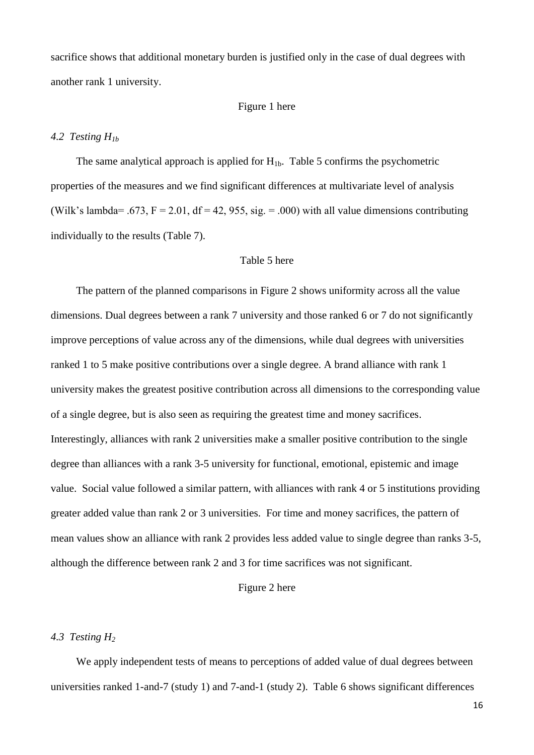sacrifice shows that additional monetary burden is justified only in the case of dual degrees with another rank 1 university.

# Figure 1 here

# *4.2 Testing H1b*

The same analytical approach is applied for  $H_{1b}$ . Table 5 confirms the psychometric properties of the measures and we find significant differences at multivariate level of analysis (Wilk's lambda= .673,  $F = 2.01$ ,  $df = 42$ , 955, sig. = .000) with all value dimensions contributing individually to the results (Table 7).

# Table 5 here

The pattern of the planned comparisons in Figure 2 shows uniformity across all the value dimensions. Dual degrees between a rank 7 university and those ranked 6 or 7 do not significantly improve perceptions of value across any of the dimensions, while dual degrees with universities ranked 1 to 5 make positive contributions over a single degree. A brand alliance with rank 1 university makes the greatest positive contribution across all dimensions to the corresponding value of a single degree, but is also seen as requiring the greatest time and money sacrifices. Interestingly, alliances with rank 2 universities make a smaller positive contribution to the single degree than alliances with a rank 3-5 university for functional, emotional, epistemic and image value. Social value followed a similar pattern, with alliances with rank 4 or 5 institutions providing greater added value than rank 2 or 3 universities. For time and money sacrifices, the pattern of mean values show an alliance with rank 2 provides less added value to single degree than ranks 3-5, although the difference between rank 2 and 3 for time sacrifices was not significant.

#### Figure 2 here

### *4.3 Testing H<sup>2</sup>*

We apply independent tests of means to perceptions of added value of dual degrees between universities ranked 1-and-7 (study 1) and 7-and-1 (study 2). Table 6 shows significant differences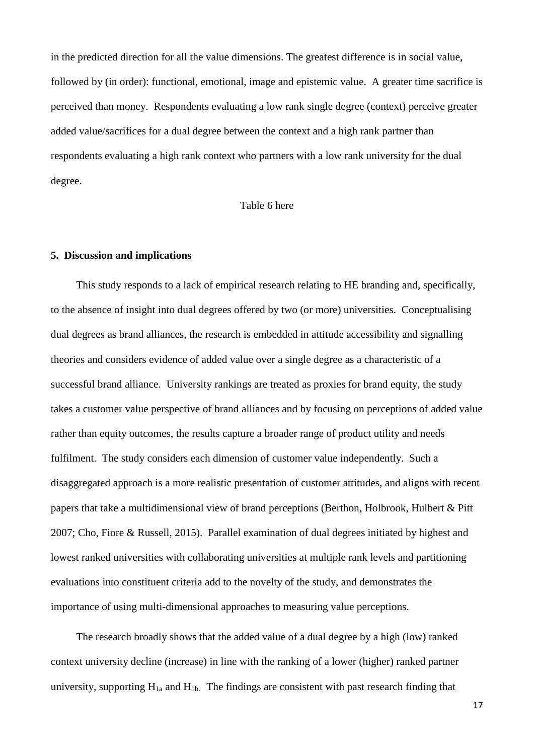in the predicted direction for all the value dimensions. The greatest difference is in social value, followed by (in order): functional, emotional, image and epistemic value. A greater time sacrifice is perceived than money. Respondents evaluating a low rank single degree (context) perceive greater added value/sacrifices for a dual degree between the context and a high rank partner than respondents evaluating a high rank context who partners with a low rank university for the dual degree.

# Table 6 here

# **5. Discussion and implications**

This study responds to a lack of empirical research relating to HE branding and, specifically, to the absence of insight into dual degrees offered by two (or more) universities. Conceptualising dual degrees as brand alliances, the research is embedded in attitude accessibility and signalling theories and considers evidence of added value over a single degree as a characteristic of a successful brand alliance. University rankings are treated as proxies for brand equity, the study takes a customer value perspective of brand alliances and by focusing on perceptions of added value rather than equity outcomes, the results capture a broader range of product utility and needs fulfilment. The study considers each dimension of customer value independently. Such a disaggregated approach is a more realistic presentation of customer attitudes, and aligns with recent papers that take a multidimensional view of brand perceptions (Berthon, Holbrook, Hulbert & Pitt 2007; Cho, Fiore & Russell, 2015). Parallel examination of dual degrees initiated by highest and lowest ranked universities with collaborating universities at multiple rank levels and partitioning evaluations into constituent criteria add to the novelty of the study, and demonstrates the importance of using multi-dimensional approaches to measuring value perceptions.

The research broadly shows that the added value of a dual degree by a high (low) ranked context university decline (increase) in line with the ranking of a lower (higher) ranked partner university, supporting  $H_{1a}$  and  $H_{1b}$ . The findings are consistent with past research finding that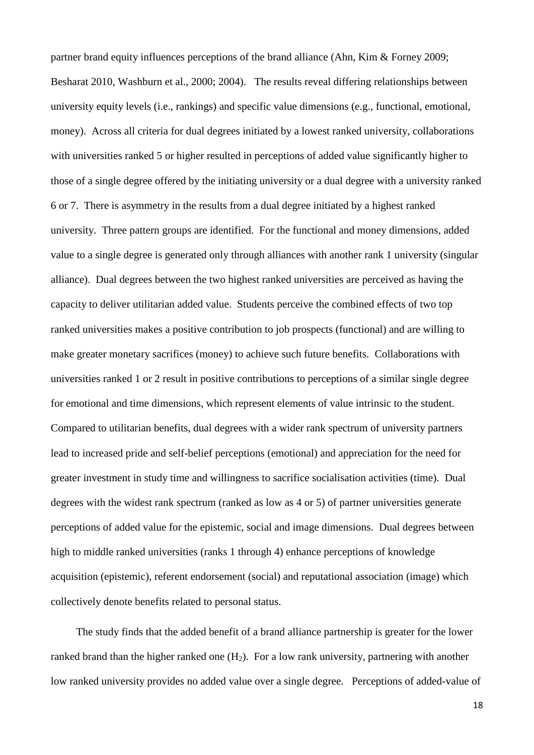partner brand equity influences perceptions of the brand alliance (Ahn, Kim & Forney 2009; Besharat 2010, Washburn et al., 2000; 2004). The results reveal differing relationships between university equity levels (i.e., rankings) and specific value dimensions (e.g., functional, emotional, money). Across all criteria for dual degrees initiated by a lowest ranked university, collaborations with universities ranked 5 or higher resulted in perceptions of added value significantly higher to those of a single degree offered by the initiating university or a dual degree with a university ranked 6 or 7. There is asymmetry in the results from a dual degree initiated by a highest ranked university. Three pattern groups are identified. For the functional and money dimensions, added value to a single degree is generated only through alliances with another rank 1 university (singular alliance). Dual degrees between the two highest ranked universities are perceived as having the capacity to deliver utilitarian added value. Students perceive the combined effects of two top ranked universities makes a positive contribution to job prospects (functional) and are willing to make greater monetary sacrifices (money) to achieve such future benefits. Collaborations with universities ranked 1 or 2 result in positive contributions to perceptions of a similar single degree for emotional and time dimensions, which represent elements of value intrinsic to the student. Compared to utilitarian benefits, dual degrees with a wider rank spectrum of university partners lead to increased pride and self-belief perceptions (emotional) and appreciation for the need for greater investment in study time and willingness to sacrifice socialisation activities (time). Dual degrees with the widest rank spectrum (ranked as low as 4 or 5) of partner universities generate perceptions of added value for the epistemic, social and image dimensions. Dual degrees between high to middle ranked universities (ranks 1 through 4) enhance perceptions of knowledge acquisition (epistemic), referent endorsement (social) and reputational association (image) which collectively denote benefits related to personal status.

The study finds that the added benefit of a brand alliance partnership is greater for the lower ranked brand than the higher ranked one  $(H<sub>2</sub>)$ . For a low rank university, partnering with another low ranked university provides no added value over a single degree. Perceptions of added-value of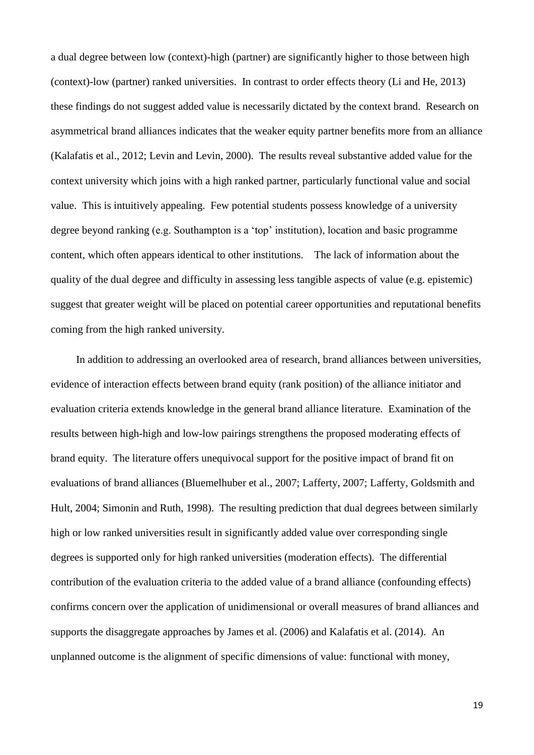a dual degree between low (context)-high (partner) are significantly higher to those between high (context)-low (partner) ranked universities. In contrast to order effects theory (Li and He, 2013) these findings do not suggest added value is necessarily dictated by the context brand. Research on asymmetrical brand alliances indicates that the weaker equity partner benefits more from an alliance (Kalafatis et al., 2012; Levin and Levin, 2000). The results reveal substantive added value for the context university which joins with a high ranked partner, particularly functional value and social value. This is intuitively appealing. Few potential students possess knowledge of a university degree beyond ranking (e.g. Southampton is a 'top' institution), location and basic programme content, which often appears identical to other institutions. The lack of information about the quality of the dual degree and difficulty in assessing less tangible aspects of value (e.g. epistemic) suggest that greater weight will be placed on potential career opportunities and reputational benefits coming from the high ranked university.

In addition to addressing an overlooked area of research, brand alliances between universities, evidence of interaction effects between brand equity (rank position) of the alliance initiator and evaluation criteria extends knowledge in the general brand alliance literature. Examination of the results between high-high and low-low pairings strengthens the proposed moderating effects of brand equity. The literature offers unequivocal support for the positive impact of brand fit on evaluations of brand alliances (Bluemelhuber et al., 2007; Lafferty, 2007; Lafferty, Goldsmith and Hult, 2004; Simonin and Ruth, 1998). The resulting prediction that dual degrees between similarly high or low ranked universities result in significantly added value over corresponding single degrees is supported only for high ranked universities (moderation effects). The differential contribution of the evaluation criteria to the added value of a brand alliance (confounding effects) confirms concern over the application of unidimensional or overall measures of brand alliances and supports the disaggregate approaches by James et al. (2006) and Kalafatis et al. (2014). An unplanned outcome is the alignment of specific dimensions of value: functional with money,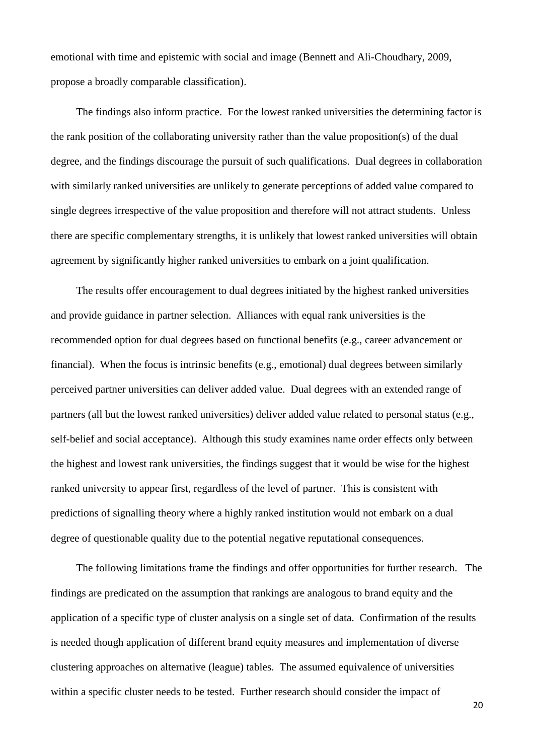emotional with time and epistemic with social and image (Bennett and Ali-Choudhary, 2009, propose a broadly comparable classification).

The findings also inform practice. For the lowest ranked universities the determining factor is the rank position of the collaborating university rather than the value proposition(s) of the dual degree, and the findings discourage the pursuit of such qualifications. Dual degrees in collaboration with similarly ranked universities are unlikely to generate perceptions of added value compared to single degrees irrespective of the value proposition and therefore will not attract students. Unless there are specific complementary strengths, it is unlikely that lowest ranked universities will obtain agreement by significantly higher ranked universities to embark on a joint qualification.

The results offer encouragement to dual degrees initiated by the highest ranked universities and provide guidance in partner selection. Alliances with equal rank universities is the recommended option for dual degrees based on functional benefits (e.g., career advancement or financial). When the focus is intrinsic benefits (e.g., emotional) dual degrees between similarly perceived partner universities can deliver added value. Dual degrees with an extended range of partners (all but the lowest ranked universities) deliver added value related to personal status (e.g., self-belief and social acceptance). Although this study examines name order effects only between the highest and lowest rank universities, the findings suggest that it would be wise for the highest ranked university to appear first, regardless of the level of partner. This is consistent with predictions of signalling theory where a highly ranked institution would not embark on a dual degree of questionable quality due to the potential negative reputational consequences.

The following limitations frame the findings and offer opportunities for further research. The findings are predicated on the assumption that rankings are analogous to brand equity and the application of a specific type of cluster analysis on a single set of data. Confirmation of the results is needed though application of different brand equity measures and implementation of diverse clustering approaches on alternative (league) tables. The assumed equivalence of universities within a specific cluster needs to be tested. Further research should consider the impact of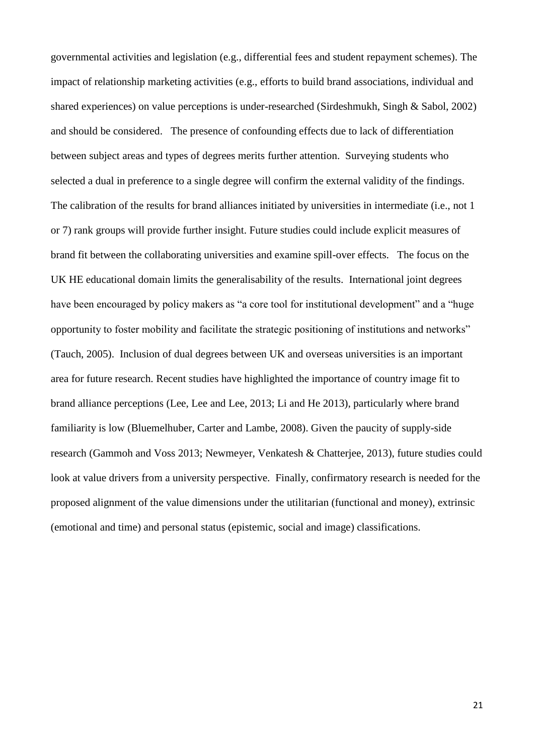governmental activities and legislation (e.g., differential fees and student repayment schemes). The impact of relationship marketing activities (e.g., efforts to build brand associations, individual and shared experiences) on value perceptions is under-researched (Sirdeshmukh, Singh & Sabol, 2002) and should be considered. The presence of confounding effects due to lack of differentiation between subject areas and types of degrees merits further attention. Surveying students who selected a dual in preference to a single degree will confirm the external validity of the findings. The calibration of the results for brand alliances initiated by universities in intermediate (i.e., not 1 or 7) rank groups will provide further insight. Future studies could include explicit measures of brand fit between the collaborating universities and examine spill-over effects. The focus on the UK HE educational domain limits the generalisability of the results. International joint degrees have been encouraged by policy makers as "a core tool for institutional development" and a "huge opportunity to foster mobility and facilitate the strategic positioning of institutions and networks" (Tauch, 2005). Inclusion of dual degrees between UK and overseas universities is an important area for future research. Recent studies have highlighted the importance of country image fit to brand alliance perceptions (Lee, Lee and Lee, 2013; Li and He 2013), particularly where brand familiarity is low (Bluemelhuber, Carter and Lambe, 2008). Given the paucity of supply-side research (Gammoh and Voss 2013; Newmeyer, Venkatesh & Chatterjee, 2013), future studies could look at value drivers from a university perspective. Finally, confirmatory research is needed for the proposed alignment of the value dimensions under the utilitarian (functional and money), extrinsic (emotional and time) and personal status (epistemic, social and image) classifications.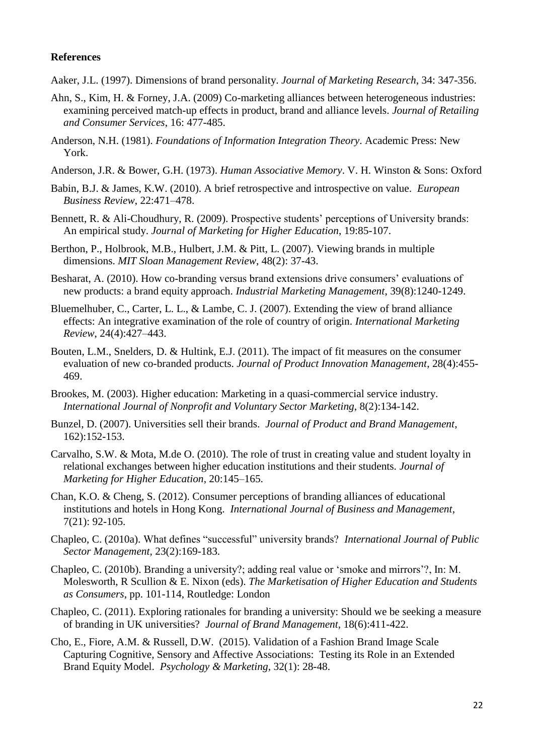## **References**

- Aaker, J.L. (1997). Dimensions of brand personality. *Journal of Marketing Research*, 34: 347-356.
- Ahn, S., Kim, H. & Forney, J.A. (2009) Co-marketing alliances between heterogeneous industries: examining perceived match-up effects in product, brand and alliance levels. *Journal of Retailing and Consumer Services*, 16: 477-485.
- Anderson, N.H. (1981). *Foundations of Information Integration Theory*. Academic Press: New York.
- Anderson, J.R. & Bower, G.H. (1973). *Human Associative Memory*. V. H. Winston & Sons: Oxford
- Babin, B.J. & James, K.W. (2010). A brief retrospective and introspective on value. *European Business Review*, 22:471–478.
- Bennett, R. & Ali-Choudhury, R. (2009). Prospective students' perceptions of University brands: An empirical study. *Journal of Marketing for Higher Education*, 19:85-107.
- Berthon, P., Holbrook, M.B., Hulbert, J.M. & Pitt, L. (2007). Viewing brands in multiple dimensions. *MIT Sloan Management Review*, 48(2): 37-43.
- Besharat, A. (2010). How co-branding versus brand extensions drive consumers' evaluations of new products: a brand equity approach. *Industrial Marketing Management*, 39(8):1240-1249.
- Bluemelhuber, C., Carter, L. L., & Lambe, C. J. (2007). Extending the view of brand alliance effects: An integrative examination of the role of country of origin. *International Marketing Review*, 24(4):427–443.
- Bouten, L.M., Snelders, D. & Hultink, E.J. (2011). The impact of fit measures on the consumer evaluation of new co-branded products. *Journal of Product Innovation Management*, 28(4):455- 469.
- Brookes, M. (2003). Higher education: Marketing in a quasi-commercial service industry. *International Journal of Nonprofit and Voluntary Sector Marketing*, 8(2):134-142.
- Bunzel, D. (2007). Universities sell their brands. *Journal of Product and Brand Management*, 162):152-153.
- Carvalho, S.W. & Mota, M.de O. (2010). The role of trust in creating value and student loyalty in relational exchanges between higher education institutions and their students. *Journal of Marketing for Higher Education*, 20:145–165.
- Chan, K.O. & Cheng, S. (2012). Consumer perceptions of branding alliances of educational institutions and hotels in Hong Kong. *International Journal of Business and Management*, 7(21): 92-105.
- Chapleo, C. (2010a). What defines "successful" university brands? *International Journal of Public Sector Management*, 23(2):169-183.
- Chapleo, C. (2010b). Branding a university?; adding real value or 'smoke and mirrors'?, In: M. Molesworth, R Scullion & E. Nixon (eds). *The Marketisation of Higher Education and Students as Consumers*, pp. 101-114, Routledge: London
- Chapleo, C. (2011). Exploring rationales for branding a university: Should we be seeking a measure of branding in UK universities? *Journal of Brand Management*, 18(6):411-422.
- Cho, E., Fiore, A.M. & Russell, D.W. (2015). Validation of a Fashion Brand Image Scale Capturing Cognitive, Sensory and Affective Associations: Testing its Role in an Extended Brand Equity Model. *Psychology & Marketing*, 32(1): 28-48.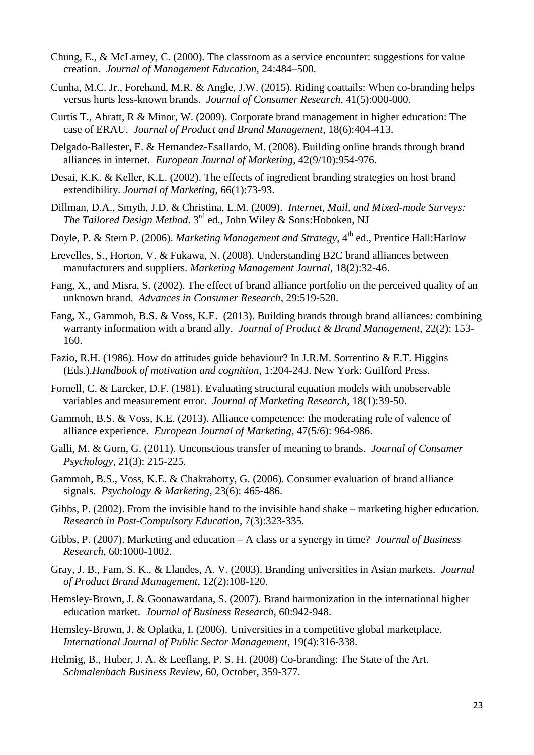- Chung, E., & McLarney, C. (2000). The classroom as a service encounter: suggestions for value creation. *Journal of Management Education*, 24:484–500.
- Cunha, M.C. Jr., Forehand, M.R. & Angle, J.W. (2015). Riding coattails: When co-branding helps versus hurts less-known brands. *Journal of Consumer Research*, 41(5):000-000.
- Curtis T., Abratt, R & Minor, W. (2009). Corporate brand management in higher education: The case of ERAU. *Journal of Product and Brand Management*, 18(6):404-413.
- Delgado-Ballester, E. & Hernandez-Esallardo, M. (2008). Building online brands through brand alliances in internet*. European Journal of Marketing*, 42(9/10):954-976.
- Desai, K.K. & Keller, K.L. (2002). The effects of ingredient branding strategies on host brand extendibility. *Journal of Marketing*, 66(1):73-93.
- Dillman, D.A., Smyth, J.D. & Christina, L.M. (2009). *Internet, Mail, and Mixed-mode Surveys: The Tailored Design Method*. 3rd ed., John Wiley & Sons:Hoboken, NJ
- Doyle, P. & Stern P. (2006). *Marketing Management and Strategy*, 4<sup>th</sup> ed., Prentice Hall: Harlow
- Erevelles, S., Horton, V. & Fukawa, N. (2008). Understanding B2C brand alliances between manufacturers and suppliers. *Marketing Management Journal*, 18(2):32-46.
- Fang, X., and Misra, S. (2002). The effect of brand alliance portfolio on the perceived quality of an unknown brand. *Advances in Consumer Research*, 29:519-520.
- Fang, X., Gammoh, B.S. & Voss, K.E. (2013). Building brands through brand alliances: combining warranty information with a brand ally. *Journal of Product & Brand Management*, 22(2): 153- 160.
- Fazio, R.H. (1986). How do attitudes guide behaviour? In J.R.M. Sorrentino & E.T. Higgins (Eds.).*Handbook of motivation and cognition*, 1:204-243. New York: Guilford Press.
- Fornell, C. & Larcker, D.F. (1981). Evaluating structural equation models with unobservable variables and measurement error. *Journal of Marketing Research*, 18(1):39-50.
- Gammoh, B.S. & Voss, K.E. (2013). Alliance competence: the moderating role of valence of alliance experience. *European Journal of Marketing*, 47(5/6): 964-986.
- Galli, M. & Gorn, G. (2011). Unconscious transfer of meaning to brands. *Journal of Consumer Psychology*, 21(3): 215-225.
- Gammoh, B.S., Voss, K.E. & Chakraborty, G. (2006). Consumer evaluation of brand alliance signals. *Psychology & Marketing*, 23(6): 465-486.
- Gibbs, P. (2002). From the invisible hand to the invisible hand shake marketing higher education. *Research in Post-Compulsory Education*, 7(3):323-335.
- Gibbs, P. (2007). Marketing and education A class or a synergy in time? *Journal of Business Research*, 60:1000-1002.
- Gray, J. B., Fam, S. K., & Llandes, A. V. (2003). Branding universities in Asian markets. *Journal of Product Brand Management*, 12(2):108-120.
- Hemsley-Brown, J. & Goonawardana, S. (2007). Brand harmonization in the international higher education market. *Journal of Business Research*, 60:942-948.
- Hemsley-Brown, J. & Oplatka, I. (2006). Universities in a competitive global marketplace. *International Journal of Public Sector Management*, 19(4):316-338.
- Helmig, B., Huber, J. A. & Leeflang, P. S. H. (2008) Co-branding: The State of the Art. *Schmalenbach Business Review*, 60, October, 359-377.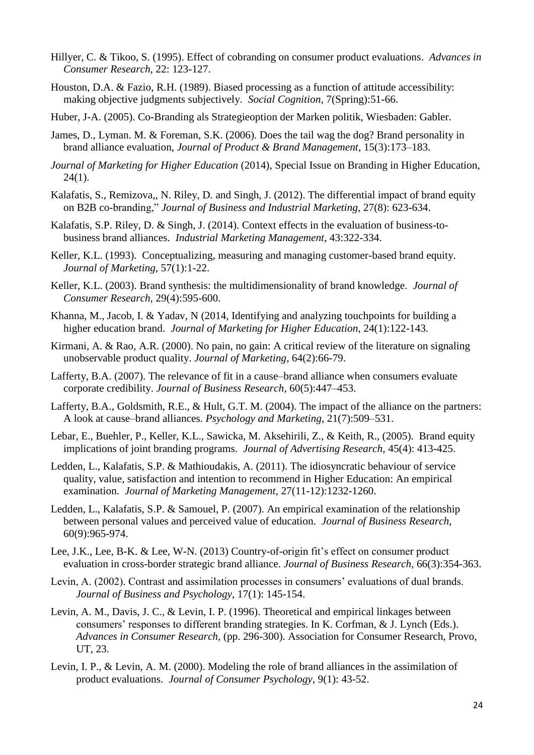- Hillyer, C. & Tikoo, S. (1995). Effect of cobranding on consumer product evaluations. *Advances in Consumer Research*, 22: 123-127.
- Houston, D.A. & Fazio, R.H. (1989). Biased processing as a function of attitude accessibility: making objective judgments subjectively. *Social Cognition*, 7(Spring):51-66.
- Huber, J-A. (2005). Co-Branding als Strategieoption der Marken politik, Wiesbaden: Gabler.
- James, D., Lyman. M. & Foreman, S.K. (2006). Does the tail wag the dog? Brand personality in brand alliance evaluation, *Journal of Product & Brand Management*, 15(3):173–183.
- *Journal of Marketing for Higher Education* (2014)*,* Special Issue on Branding in Higher Education,  $24(1)$ .
- Kalafatis, S., Remizova,, N. Riley, D. and Singh, J. (2012). The differential impact of brand equity on B2B co-branding," *Journal of Business and Industrial Marketing*, 27(8): 623-634.
- Kalafatis, S.P. Riley, D. & Singh, J. (2014). Context effects in the evaluation of business-tobusiness brand alliances. *Industrial Marketing Management*, 43:322-334.
- Keller, K.L. (1993). Conceptualizing, measuring and managing customer-based brand equity. *Journal of Marketing*, 57(1):1-22.
- Keller, K.L. (2003). Brand synthesis: the multidimensionality of brand knowledge. *Journal of Consumer Research*, 29(4):595-600.
- Khanna, M., Jacob, I. & Yadav, N (2014, Identifying and analyzing touchpoints for building a higher education brand. *Journal of Marketing for Higher Education*, 24(1):122-143.
- Kirmani, A. & Rao, A.R. (2000). No pain, no gain: A critical review of the literature on signaling unobservable product quality. *Journal of Marketing*, 64(2):66-79.
- Lafferty, B.A. (2007). The relevance of fit in a cause–brand alliance when consumers evaluate corporate credibility. *Journal of Business Research*, 60(5):447–453.
- Lafferty, B.A., Goldsmith, R.E., & Hult, G.T. M. (2004). The impact of the alliance on the partners: A look at cause–brand alliances. *Psychology and Marketing*, 21(7):509–531.
- Lebar, E., Buehler, P., Keller, K.L., Sawicka, M. Aksehirili, Z., & Keith, R., (2005). Brand equity implications of joint branding programs. *Journal of Advertising Research*, 45(4): 413-425.
- Ledden, L., Kalafatis, S.P. & Mathioudakis, A. (2011). The idiosyncratic behaviour of service quality, value, satisfaction and intention to recommend in Higher Education: An empirical examination. *Journal of Marketing Management*, 27(11-12):1232-1260.
- Ledden, L., Kalafatis, S.P. & Samouel, P. (2007). An empirical examination of the relationship between personal values and perceived value of education. *Journal of Business Research*, 60(9):965-974.
- Lee, J.K., Lee, B-K. & Lee, W-N. (2013) Country-of-origin fit's effect on consumer product evaluation in cross-border strategic brand alliance. *Journal of Business Research*, 66(3):354-363.
- Levin, A. (2002). Contrast and assimilation processes in consumers' evaluations of dual brands. *Journal of Business and Psychology*, 17(1): 145-154.
- Levin, A. M., Davis, J. C., & Levin, I. P. (1996). Theoretical and empirical linkages between consumers' responses to different branding strategies. In K. Corfman, & J. Lynch (Eds.). *Advances in Consumer Research*, (pp. 296-300). Association for Consumer Research, Provo, UT, 23.
- Levin, I. P., & Levin, A. M. (2000). Modeling the role of brand alliances in the assimilation of product evaluations. *Journal of Consumer Psychology*, 9(1): 43-52.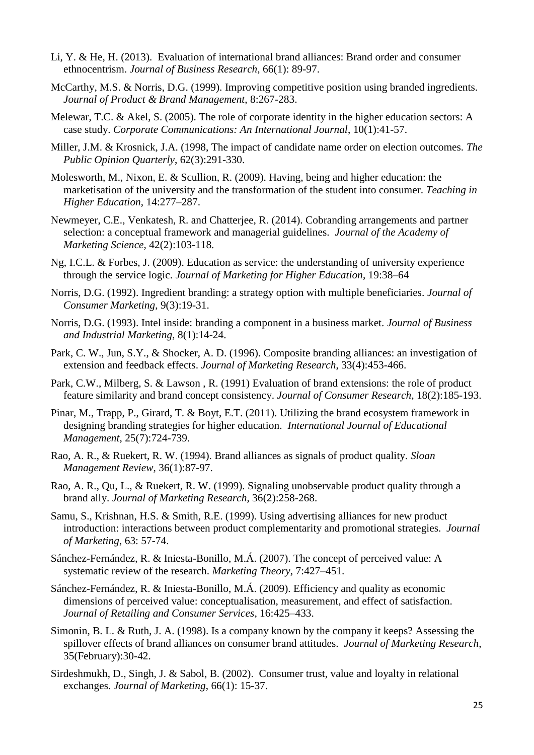- Li, Y. & He, H. (2013). Evaluation of international brand alliances: Brand order and consumer ethnocentrism. *Journal of Business Research*, 66(1): 89-97.
- McCarthy, M.S. & Norris, D.G. (1999). Improving competitive position using branded ingredients. *Journal of Product & Brand Management*, 8:267-283.
- Melewar, T.C. & Akel, S. (2005). The role of corporate identity in the higher education sectors: A case study. *Corporate Communications: An International Journal*, 10(1):41-57.
- Miller, J.M. & Krosnick, J.A. (1998, The impact of candidate name order on election outcomes. *The Public Opinion Quarterly*, 62(3):291-330.
- Molesworth, M., Nixon, E. & Scullion, R. (2009). Having, being and higher education: the marketisation of the university and the transformation of the student into consumer. *Teaching in Higher Education*, 14:277–287.
- Newmeyer, C.E., Venkatesh, R. and Chatterjee, R. (2014). Cobranding arrangements and partner selection: a conceptual framework and managerial guidelines. *Journal of the Academy of Marketing Science*, 42(2):103-118.
- Ng, I.C.L. & Forbes, J. (2009). Education as service: the understanding of university experience through the service logic. *Journal of Marketing for Higher Education*, 19:38–64
- Norris, D.G. (1992). Ingredient branding: a strategy option with multiple beneficiaries. *Journal of Consumer Marketing*, 9(3):19-31.
- Norris, D.G. (1993). Intel inside: branding a component in a business market. *Journal of Business and Industrial Marketing*, 8(1):14-24.
- Park, C. W., Jun, S.Y., & Shocker, A. D. (1996). Composite branding alliances: an investigation of extension and feedback effects. *Journal of Marketing Research*, 33(4):453-466.
- Park, C.W., Milberg, S. & Lawson , R. (1991) Evaluation of brand extensions: the role of product feature similarity and brand concept consistency. *Journal of Consumer Research*, 18(2):185-193.
- Pinar, M., Trapp, P., Girard, T. & Boyt, E.T. (2011). Utilizing the brand ecosystem framework in designing branding strategies for higher education. *International Journal of Educational Management*, 25(7):724-739.
- Rao, A. R., & Ruekert, R. W. (1994). Brand alliances as signals of product quality. *Sloan Management Review*, 36(1):87-97.
- Rao, A. R., Qu, L., & Ruekert, R. W. (1999). Signaling unobservable product quality through a brand ally. *Journal of Marketing Research*, 36(2):258-268.
- Samu, S., Krishnan, H.S. & Smith, R.E. (1999). Using advertising alliances for new product introduction: interactions between product complementarity and promotional strategies. *Journal of Marketing*, 63: 57-74.
- Sánchez-Fernández, R. & Iniesta-Bonillo, M.Á. (2007). The concept of perceived value: A systematic review of the research. *Marketing Theory*, 7:427–451.
- Sánchez-Fernández, R. & Iniesta-Bonillo, M.Á. (2009). Efficiency and quality as economic dimensions of perceived value: conceptualisation, measurement, and effect of satisfaction. *Journal of Retailing and Consumer Services*, 16:425–433.
- Simonin, B. L. & Ruth, J. A. (1998). Is a company known by the company it keeps? Assessing the spillover effects of brand alliances on consumer brand attitudes. *Journal of Marketing Research*, 35(February):30-42.
- Sirdeshmukh, D., Singh, J. & Sabol, B. (2002). Consumer trust, value and loyalty in relational exchanges. *Journal of Marketing*, 66(1): 15-37.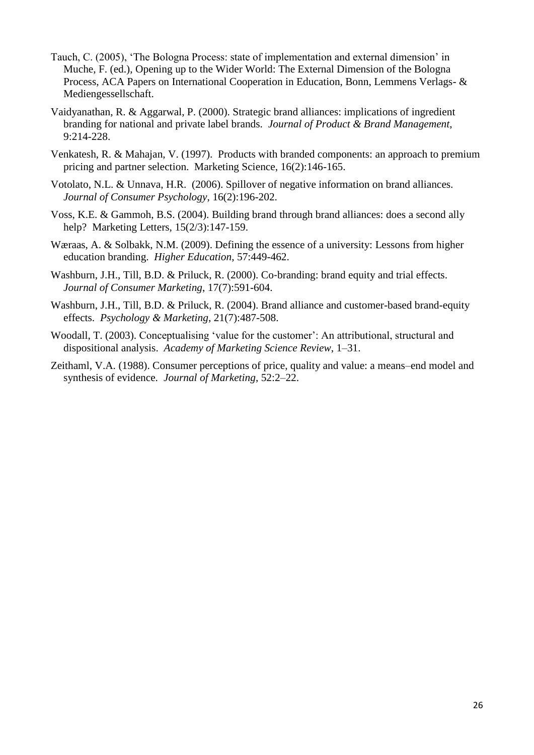- Tauch, C. (2005), 'The Bologna Process: state of implementation and external dimension' in Muche, F. (ed.), Opening up to the Wider World: The External Dimension of the Bologna Process, ACA Papers on International Cooperation in Education, Bonn, Lemmens Verlags- & Mediengessellschaft.
- Vaidyanathan, R. & Aggarwal, P. (2000). Strategic brand alliances: implications of ingredient branding for national and private label brands. *Journal of Product & Brand Management*, 9:214-228.
- Venkatesh, R. & Mahajan, V. (1997). Products with branded components: an approach to premium pricing and partner selection. Marketing Science, 16(2):146-165.
- Votolato, N.L. & Unnava, H.R. (2006). Spillover of negative information on brand alliances. *Journal of Consumer Psychology*, 16(2):196-202.
- Voss, K.E. & Gammoh, B.S. (2004). Building brand through brand alliances: does a second ally help? Marketing Letters, 15(2/3):147-159.
- Wæraas, A. & Solbakk, N.M. (2009). Defining the essence of a university: Lessons from higher education branding. *Higher Education*, 57:449-462.
- Washburn, J.H., Till, B.D. & Priluck, R. (2000). Co-branding: brand equity and trial effects. *Journal of Consumer Marketing*, 17(7):591-604.
- Washburn, J.H., Till, B.D. & Priluck, R. (2004). Brand alliance and customer-based brand-equity effects. *Psychology & Marketing*, 21(7):487-508.
- Woodall, T. (2003). Conceptualising 'value for the customer': An attributional, structural and dispositional analysis. *Academy of Marketing Science Review*, 1–31.
- Zeithaml, V.A. (1988). Consumer perceptions of price, quality and value: a means–end model and synthesis of evidence. *Journal of Marketing*, 52:2–22.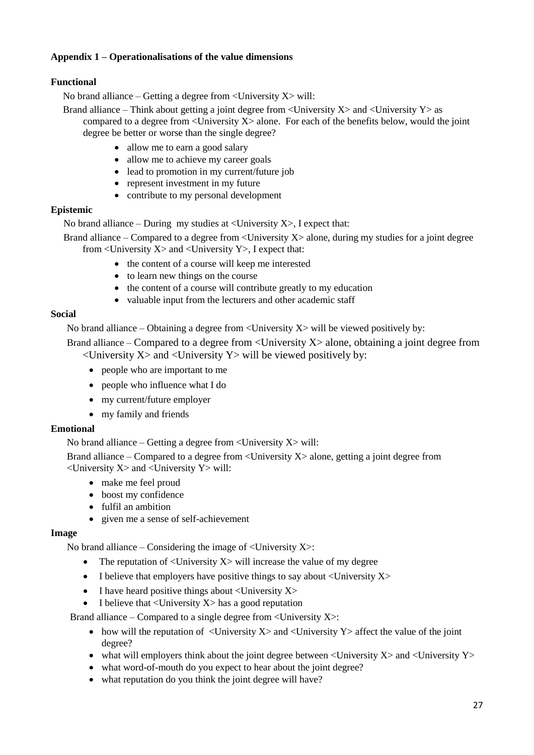# **Appendix 1 – Operationalisations of the value dimensions**

## **Functional**

No brand alliance – Getting a degree from <University X> will:

Brand alliance – Think about getting a joint degree from  $\langle$ University X $\rangle$  and  $\langle$ University Y $\rangle$  as

compared to a degree from  $\langle$ University X $\rangle$  alone. For each of the benefits below, would the joint degree be better or worse than the single degree?

- allow me to earn a good salary
- allow me to achieve my career goals
- lead to promotion in my current/future job
- represent investment in my future
- contribute to my personal development

### **Epistemic**

No brand alliance – During my studies at  $\langle$ University X $\rangle$ , I expect that:

Brand alliance – Compared to a degree from <University X> alone, during my studies for a joint degree from <University X> and <University Y>, I expect that:

- the content of a course will keep me interested
- to learn new things on the course
- the content of a course will contribute greatly to my education
- valuable input from the lecturers and other academic staff

### **Social**

No brand alliance – Obtaining a degree from  $\langle$ University X $\rangle$  will be viewed positively by:

Brand alliance – Compared to a degree from  $\langle$ University X $\rangle$  alone, obtaining a joint degree from  $\langle$ University X $>$  and  $\langle$ University Y $>$  will be viewed positively by:

- people who are important to me
- people who influence what I do
- my current/future employer
- my family and friends

#### **Emotional**

No brand alliance – Getting a degree from  $\langle$ University X $\rangle$  will:

Brand alliance – Compared to a degree from  $\leq$ University X $>$  alone, getting a joint degree from <University X> and <University Y> will:

- make me feel proud
- boost my confidence
- fulfil an ambition
- given me a sense of self-achievement

#### **Image**

No brand alliance – Considering the image of  $\langle$ University X $\rangle$ :

- The reputation of  $\langle$ University X $>$  will increase the value of my degree
- $\bullet$  I believe that employers have positive things to say about <University X>
- $\bullet$  I have heard positive things about <University X>
- $\bullet$  I believe that <University X> has a good reputation

Brand alliance – Compared to a single degree from  $\langle$ University X $\rangle$ :

- how will the reputation of  $\langle$ University X $\rangle$  and  $\langle$ University Y $\rangle$  affect the value of the joint degree?
- what will employers think about the joint degree between  $\langle$ University X $\rangle$  and  $\langle$ University Y $\rangle$
- what word-of-mouth do you expect to hear about the joint degree?
- what reputation do you think the joint degree will have?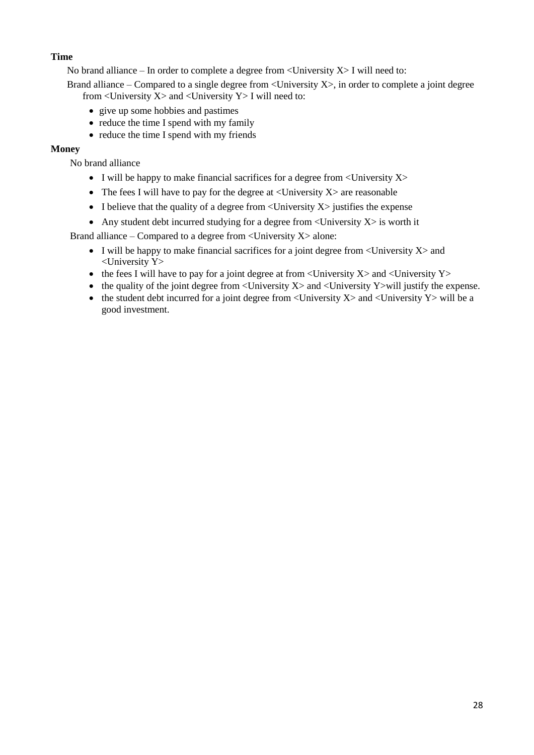# **Time**

No brand alliance – In order to complete a degree from  $\langle$ University X $>$  I will need to:

Brand alliance – Compared to a single degree from <University X>, in order to complete a joint degree from  $\langle$ University X $>$  and  $\langle$ University Y $>$  I will need to:

- give up some hobbies and pastimes
- reduce the time I spend with my family
- reduce the time I spend with my friends

# **Money**

No brand alliance

- $\bullet$  I will be happy to make financial sacrifices for a degree from <University X>
- The fees I will have to pay for the degree at  $\langle$ University X $\rangle$  are reasonable
- I believe that the quality of a degree from  $\langle$ University X $\rangle$  justifies the expense
- Any student debt incurred studying for a degree from  $\langle$ University X $\rangle$  is worth it

Brand alliance – Compared to a degree from  $\langle$ University  $X \rangle$  alone:

- I will be happy to make financial sacrifices for a joint degree from  $\langle$ University X $\rangle$  and <University Y>
- the fees I will have to pay for a joint degree at from <University  $X >$  and <University  $Y >$
- the quality of the joint degree from  $\langle$ University X $\rangle$  and  $\langle$ University Y $\rangle$ will justify the expense.
- the student debt incurred for a joint degree from  $\langle$ University X $>$  and  $\langle$ University Y $>$  will be a good investment.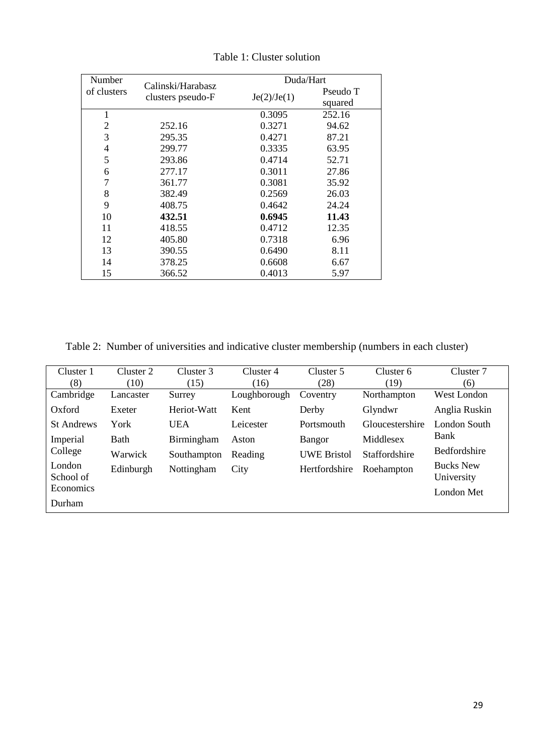| Number         | Calinski/Harabasz | Duda/Hart   |          |  |  |  |
|----------------|-------------------|-------------|----------|--|--|--|
| of clusters    | clusters pseudo-F | Je(2)/Je(1) | Pseudo T |  |  |  |
|                |                   |             | squared  |  |  |  |
| $\mathbf{1}$   |                   | 0.3095      | 252.16   |  |  |  |
| $\overline{2}$ | 252.16            | 0.3271      | 94.62    |  |  |  |
| 3              | 295.35            | 0.4271      | 87.21    |  |  |  |
| $\overline{4}$ | 299.77            | 0.3335      | 63.95    |  |  |  |
| 5              | 293.86            | 0.4714      | 52.71    |  |  |  |
| 6              | 277.17            | 0.3011      | 27.86    |  |  |  |
| $\overline{7}$ | 361.77            | 0.3081      | 35.92    |  |  |  |
| 8              | 382.49            | 0.2569      | 26.03    |  |  |  |
| 9              | 408.75            | 0.4642      | 24.24    |  |  |  |
| 10             | 432.51            | 0.6945      | 11.43    |  |  |  |
| 11             | 418.55            | 0.4712      | 12.35    |  |  |  |
| 12             | 405.80            | 0.7318      | 6.96     |  |  |  |
| 13             | 390.55            | 0.6490      | 8.11     |  |  |  |
| 14             | 378.25            | 0.6608      | 6.67     |  |  |  |
| 15             | 366.52            | 0.4013      | 5.97     |  |  |  |

Table 1: Cluster solution

Table 2: Number of universities and indicative cluster membership (numbers in each cluster)

| Cluster 1         | Cluster 2 | Cluster 3   | Cluster 4    | Cluster 5          | Cluster 6            | Cluster 7           |
|-------------------|-----------|-------------|--------------|--------------------|----------------------|---------------------|
| (8)               | (10)      | (15)        | (16)         | (28)               | (19)                 | (6)                 |
| Cambridge         | Lancaster | Surrey      | Loughborough | Coventry           | Northampton          | <b>West London</b>  |
| Oxford            | Exeter    | Heriot-Watt | Kent         | Derby              | Glyndwr              | Anglia Ruskin       |
| <b>St Andrews</b> | York      | UEA         | Leicester    | Portsmouth         | Gloucestershire      | London South        |
| Imperial          | Bath      | Birmingham  | Aston        | Bangor             | Middlesex            | Bank                |
| College           | Warwick   | Southampton | Reading      | <b>UWE Bristol</b> | <b>Staffordshire</b> | <b>Bedfordshire</b> |
| London            | Edinburgh | Nottingham  | City         | Hertfordshire      | Roehampton           | <b>Bucks New</b>    |
| School of         |           |             |              |                    |                      | University          |
| Economics         |           |             |              |                    |                      | London Met          |
| Durham            |           |             |              |                    |                      |                     |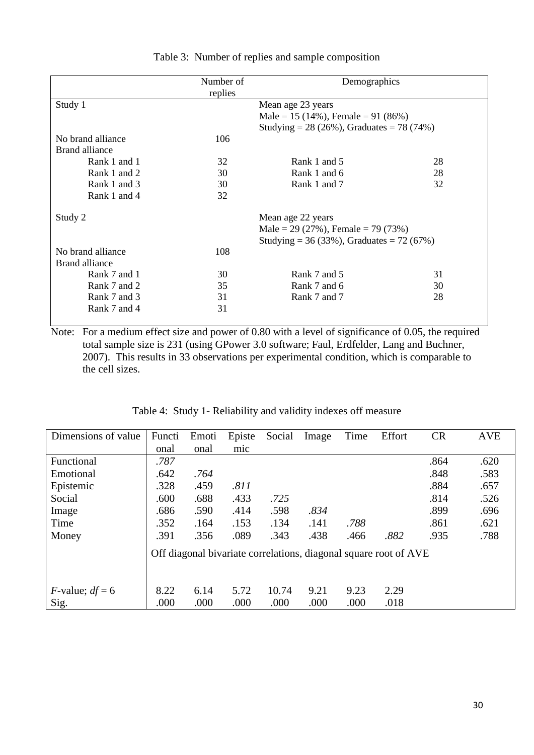|                       | Number of         | Demographics                                 |    |  |  |  |
|-----------------------|-------------------|----------------------------------------------|----|--|--|--|
|                       | replies           |                                              |    |  |  |  |
| Study 1               | Mean age 23 years |                                              |    |  |  |  |
|                       |                   | Male = 15 (14%), Female = 91 (86%)           |    |  |  |  |
|                       |                   | Studying = $28(26%)$ , Graduates = $78(74%)$ |    |  |  |  |
| No brand alliance     | 106               |                                              |    |  |  |  |
| <b>Brand alliance</b> |                   |                                              |    |  |  |  |
| Rank 1 and 1          | 32                | Rank 1 and 5                                 | 28 |  |  |  |
| Rank 1 and 2          | 30                | Rank 1 and 6                                 | 28 |  |  |  |
| Rank 1 and 3          | 30                | Rank 1 and 7                                 | 32 |  |  |  |
| Rank 1 and 4          | 32                |                                              |    |  |  |  |
| Study 2               |                   | Mean age 22 years                            |    |  |  |  |
|                       |                   | Male = $29(27\%)$ , Female = $79(73\%)$      |    |  |  |  |
|                       |                   | Studying = 36 (33%), Graduates = 72 (67%)    |    |  |  |  |
| No brand alliance     | 108               |                                              |    |  |  |  |
| Brand alliance        |                   |                                              |    |  |  |  |
| Rank 7 and 1          | 30                | Rank 7 and 5                                 | 31 |  |  |  |
| Rank 7 and 2          | 35                | Rank 7 and 6                                 | 30 |  |  |  |
| Rank 7 and 3          | 31                | Rank 7 and 7                                 | 28 |  |  |  |
| Rank 7 and 4          | 31                |                                              |    |  |  |  |
|                       |                   |                                              |    |  |  |  |

# Table 3: Number of replies and sample composition

Note: For a medium effect size and power of 0.80 with a level of significance of 0.05, the required total sample size is 231 (using GPower 3.0 software; Faul, Erdfelder, Lang and Buchner, 2007). This results in 33 observations per experimental condition, which is comparable to the cell sizes.

| Dimensions of value       | Functi | Emoti | Episte | Social | Image | Time | Effort                                                           | <b>CR</b> | <b>AVE</b> |
|---------------------------|--------|-------|--------|--------|-------|------|------------------------------------------------------------------|-----------|------------|
|                           | onal   | onal  | mic    |        |       |      |                                                                  |           |            |
| Functional                | .787   |       |        |        |       |      |                                                                  | .864      | .620       |
| Emotional                 | .642   | .764  |        |        |       |      |                                                                  | .848      | .583       |
| Epistemic                 | .328   | .459  | .811   |        |       |      |                                                                  | .884      | .657       |
| Social                    | .600   | .688  | .433   | .725   |       |      |                                                                  | .814      | .526       |
| Image                     | .686   | .590  | .414   | .598   | .834  |      |                                                                  | .899      | .696       |
| Time                      | .352   | .164  | .153   | .134   | .141  | .788 |                                                                  | .861      | .621       |
| Money                     | .391   | .356  | .089   | .343   | .438  | .466 | .882                                                             | .935      | .788       |
|                           |        |       |        |        |       |      | Off diagonal bivariate correlations, diagonal square root of AVE |           |            |
| <i>F</i> -value; $df = 6$ | 8.22   | 6.14  | 5.72   | 10.74  | 9.21  | 9.23 | 2.29                                                             |           |            |
| Sig.                      | .000   | .000  | .000   | .000   | .000  | .000 | .018                                                             |           |            |

Table 4: Study 1- Reliability and validity indexes off measure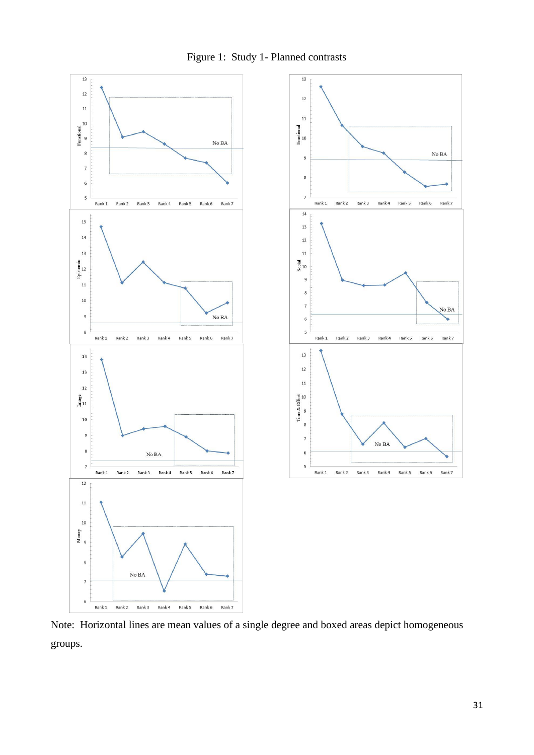

13  $12$  $11$  $\begin{array}{c} \text{Enoional} \\ \text{10} \end{array}$ No  $\bar{\mathrm{B}}\mathrm{A}$  $\overline{9}$ 8  $\overline{7}$ Rank 2 Rank 7 Rank 1 Rank 3 Rank 4 Rank 5 Rank 6 14 13  $12$ 11  $rac{1}{2}$  10  $\epsilon$  $\epsilon$  $\overline{7}$ No BA  $6\overline{6}$  $\overline{\phantom{a}}$ Rank 1 Rank 2 Rank 3 Rank 4 Rank 5 Rank 6 Rank 7 13  $12$  $11$  $\begin{tabular}{ll} Time \& Effort \\ & \circ \\ & \circ \end{tabular}$  $\epsilon$  $\overline{1}$ No  $BA$  $\epsilon$  $\overline{\phantom{0}}$ Rank 1 Rank 2 Rank 7 Rank 3 Rank 4 Rank 5 Rank 6

Note: Horizontal lines are mean values of a single degree and boxed areas depict homogeneous groups.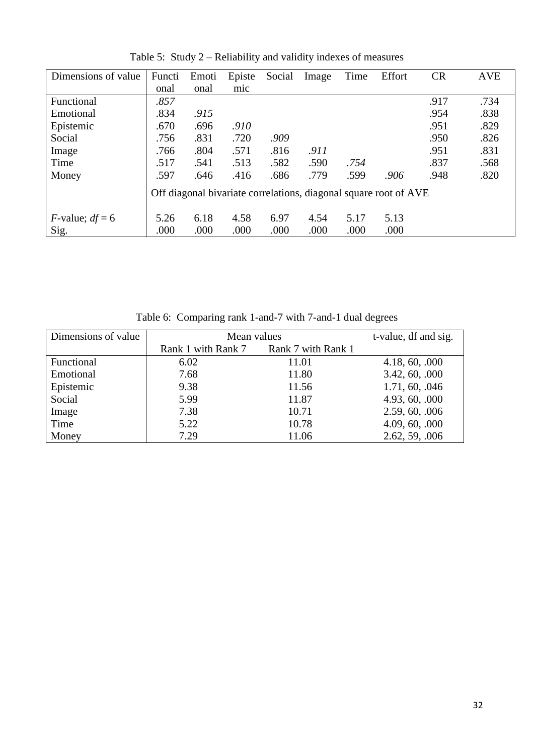| Dimensions of value       | Functi | Emoti | Episte | Social | Image | Time | Effort                                                           | <b>CR</b> | <b>AVE</b> |
|---------------------------|--------|-------|--------|--------|-------|------|------------------------------------------------------------------|-----------|------------|
|                           | onal   | onal  | mic    |        |       |      |                                                                  |           |            |
| Functional                | .857   |       |        |        |       |      |                                                                  | .917      | .734       |
| Emotional                 | .834   | .915  |        |        |       |      |                                                                  | .954      | .838       |
| Epistemic                 | .670   | .696  | .910   |        |       |      |                                                                  | .951      | .829       |
| Social                    | .756   | .831  | .720   | .909   |       |      |                                                                  | .950      | .826       |
| Image                     | .766   | .804  | .571   | .816   | .911  |      |                                                                  | .951      | .831       |
| Time                      | .517   | .541  | .513   | .582   | .590  | .754 |                                                                  | .837      | .568       |
| Money                     | .597   | .646  | .416   | .686   | .779  | .599 | .906                                                             | .948      | .820       |
|                           |        |       |        |        |       |      | Off diagonal bivariate correlations, diagonal square root of AVE |           |            |
| <i>F</i> -value; $df = 6$ | 5.26   | 6.18  | 4.58   | 6.97   | 4.54  | 5.17 | 5.13                                                             |           |            |
| Sig.                      | .000   | .000  | .000   | .000   | .000  | .000 | .000                                                             |           |            |

Table 5: Study 2 – Reliability and validity indexes of measures

Table 6: Comparing rank 1-and-7 with 7-and-1 dual degrees

| Dimensions of value | Mean values                              | t-value, df and sig. |                |
|---------------------|------------------------------------------|----------------------|----------------|
|                     | Rank 1 with Rank 7<br>Rank 7 with Rank 1 |                      |                |
| Functional          | 6.02                                     | 11.01                | 4.18, 60, .000 |
| Emotional           | 7.68                                     | 11.80                | 3.42, 60, .000 |
| Epistemic           | 9.38                                     | 11.56                | 1.71, 60, .046 |
| Social              | 5.99                                     | 11.87                | 4.93, 60, .000 |
| Image               | 7.38                                     | 10.71                | 2.59, 60, .006 |
| Time                | 5.22                                     | 10.78                | 4.09, 60, .000 |
| Money               | 7.29                                     | 11.06                | 2.62, 59, .006 |